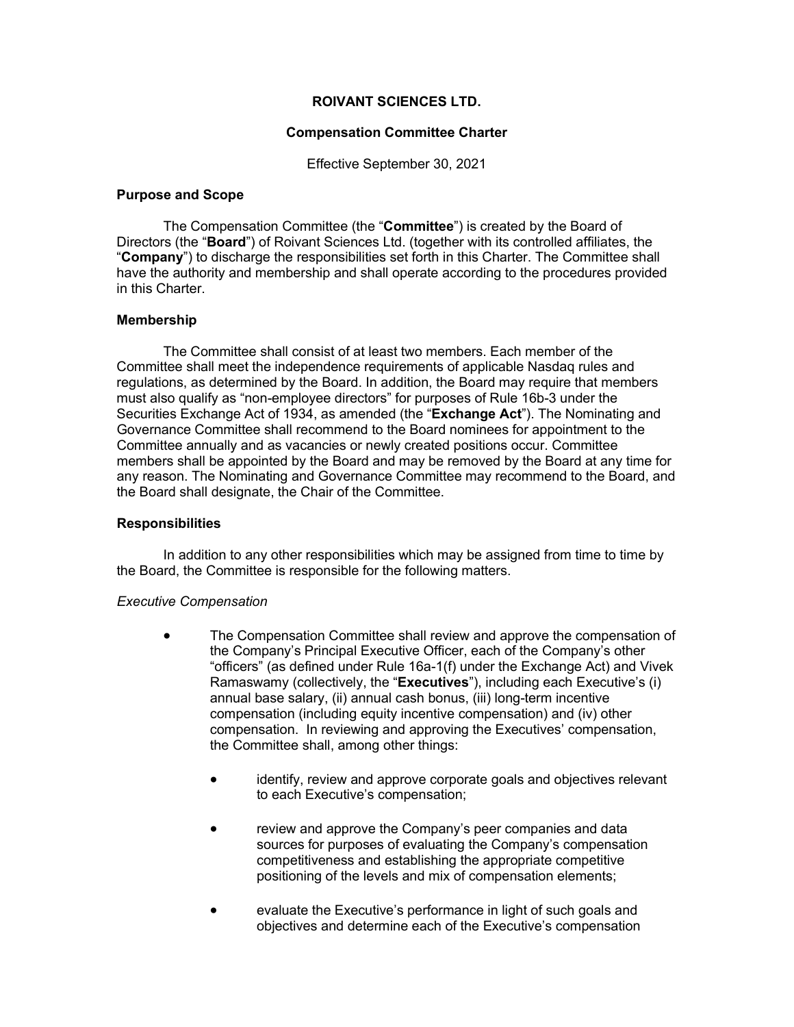# **ROIVANT SCIENCES LTD.**

#### **Compensation Committee Charter**

Effective September 30, 2021

#### **Purpose and Scope**

The Compensation Committee (the "**Committee**") is created by the Board of Directors (the "**Board**") of Roivant Sciences Ltd. (together with its controlled affiliates, the "**Company**") to discharge the responsibilities set forth in this Charter. The Committee shall have the authority and membership and shall operate according to the procedures provided in this Charter.

# **Membership**

The Committee shall consist of at least two members. Each member of the Committee shall meet the independence requirements of applicable Nasdaq rules and regulations, as determined by the Board. In addition, the Board may require that members must also qualify as "non-employee directors" for purposes of Rule 16b-3 under the Securities Exchange Act of 1934, as amended (the "**Exchange Act**"). The Nominating and Governance Committee shall recommend to the Board nominees for appointment to the Committee annually and as vacancies or newly created positions occur. Committee members shall be appointed by the Board and may be removed by the Board at any time for any reason. The Nominating and Governance Committee may recommend to the Board, and the Board shall designate, the Chair of the Committee.

#### **Responsibilities**

In addition to any other responsibilities which may be assigned from time to time by the Board, the Committee is responsible for the following matters.

#### *Executive Compensation*

- The Compensation Committee shall review and approve the compensation of the Company's Principal Executive Officer, each of the Company's other "officers" (as defined under Rule 16a-1(f) under the Exchange Act) and Vivek Ramaswamy (collectively, the "**Executives**"), including each Executive's (i) annual base salary, (ii) annual cash bonus, (iii) long-term incentive compensation (including equity incentive compensation) and (iv) other compensation. In reviewing and approving the Executives' compensation, the Committee shall, among other things:
	- identify, review and approve corporate goals and objectives relevant to each Executive's compensation;
	- review and approve the Company's peer companies and data sources for purposes of evaluating the Company's compensation competitiveness and establishing the appropriate competitive positioning of the levels and mix of compensation elements;
	- evaluate the Executive's performance in light of such goals and objectives and determine each of the Executive's compensation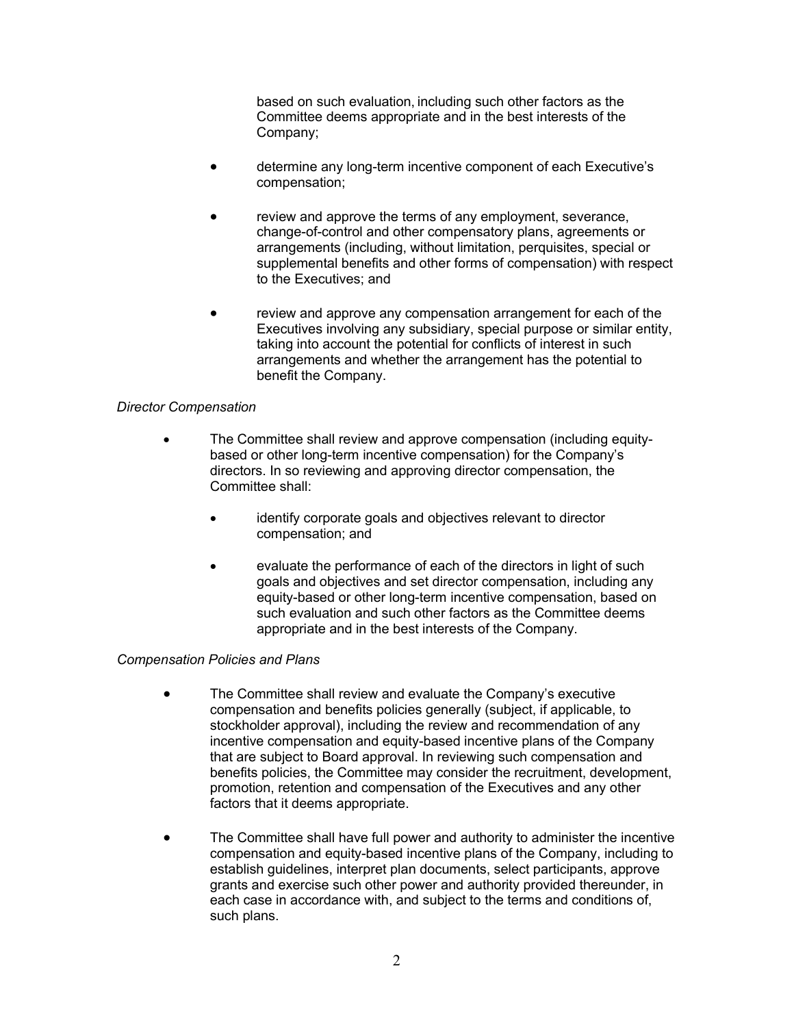based on such evaluation, including such other factors as the Committee deems appropriate and in the best interests of the Company;

- determine any long-term incentive component of each Executive's compensation;
- review and approve the terms of any employment, severance, change-of-control and other compensatory plans, agreements or arrangements (including, without limitation, perquisites, special or supplemental benefits and other forms of compensation) with respect to the Executives; and
- review and approve any compensation arrangement for each of the Executives involving any subsidiary, special purpose or similar entity, taking into account the potential for conflicts of interest in such arrangements and whether the arrangement has the potential to benefit the Company.

# *Director Compensation*

- The Committee shall review and approve compensation (including equitybased or other long-term incentive compensation) for the Company's directors. In so reviewing and approving director compensation, the Committee shall:
	- identify corporate goals and objectives relevant to director compensation; and
	- evaluate the performance of each of the directors in light of such goals and objectives and set director compensation, including any equity-based or other long-term incentive compensation, based on such evaluation and such other factors as the Committee deems appropriate and in the best interests of the Company.

# *Compensation Policies and Plans*

- The Committee shall review and evaluate the Company's executive compensation and benefits policies generally (subject, if applicable, to stockholder approval), including the review and recommendation of any incentive compensation and equity-based incentive plans of the Company that are subject to Board approval. In reviewing such compensation and benefits policies, the Committee may consider the recruitment, development, promotion, retention and compensation of the Executives and any other factors that it deems appropriate.
- The Committee shall have full power and authority to administer the incentive compensation and equity-based incentive plans of the Company, including to establish guidelines, interpret plan documents, select participants, approve grants and exercise such other power and authority provided thereunder, in each case in accordance with, and subject to the terms and conditions of, such plans.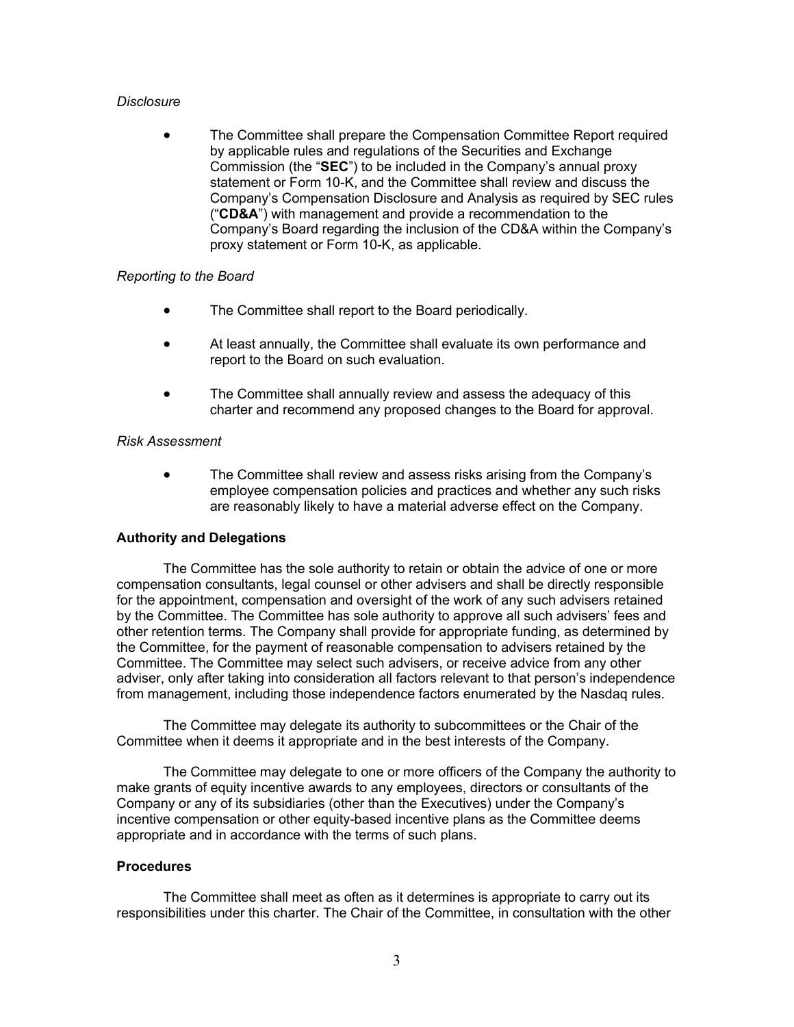#### *Disclosure*

• The Committee shall prepare the Compensation Committee Report required by applicable rules and regulations of the Securities and Exchange Commission (the "**SEC**") to be included in the Company's annual proxy statement or Form 10-K, and the Committee shall review and discuss the Company's Compensation Disclosure and Analysis as required by SEC rules ("**CD&A**") with management and provide a recommendation to the Company's Board regarding the inclusion of the CD&A within the Company's proxy statement or Form 10-K, as applicable.

# *Reporting to the Board*

- The Committee shall report to the Board periodically.
- At least annually, the Committee shall evaluate its own performance and report to the Board on such evaluation.
- The Committee shall annually review and assess the adequacy of this charter and recommend any proposed changes to the Board for approval.

#### *Risk Assessment*

• The Committee shall review and assess risks arising from the Company's employee compensation policies and practices and whether any such risks are reasonably likely to have a material adverse effect on the Company.

# **Authority and Delegations**

The Committee has the sole authority to retain or obtain the advice of one or more compensation consultants, legal counsel or other advisers and shall be directly responsible for the appointment, compensation and oversight of the work of any such advisers retained by the Committee. The Committee has sole authority to approve all such advisers' fees and other retention terms. The Company shall provide for appropriate funding, as determined by the Committee, for the payment of reasonable compensation to advisers retained by the Committee. The Committee may select such advisers, or receive advice from any other adviser, only after taking into consideration all factors relevant to that person's independence from management, including those independence factors enumerated by the Nasdaq rules.

The Committee may delegate its authority to subcommittees or the Chair of the Committee when it deems it appropriate and in the best interests of the Company.

The Committee may delegate to one or more officers of the Company the authority to make grants of equity incentive awards to any employees, directors or consultants of the Company or any of its subsidiaries (other than the Executives) under the Company's incentive compensation or other equity-based incentive plans as the Committee deems appropriate and in accordance with the terms of such plans.

# **Procedures**

The Committee shall meet as often as it determines is appropriate to carry out its responsibilities under this charter. The Chair of the Committee, in consultation with the other